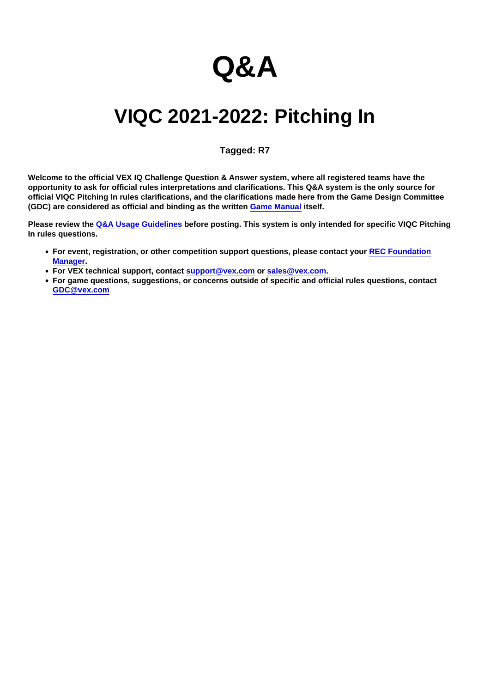# Q&A

# VIQC 2021-2022: Pitching In

# Tagged: R7

Welcome to the official VEX IQ Challenge Question & Answer system, where all registered teams have the opportunity to ask for official rules interpretations and clarifications. This Q&A system is the only source for official VIQC Pitching In rules clarifications, and the clarifications made here from the Game Design Committee (GDC) are considered as official and binding as the written [Game Manual](https://link.vex.com/docs/viqc/pitching-in/Game-Manual) itself.

Please review the [Q&A Usage Guidelines](https://robotevents.com/VIQC/2021-2022/QA/guidelines) before posting. This system is only intended for specific VIQC Pitching In rules questions.

- For event, registration, or other competition support questions, please contact your [REC Foundation](http://www.robotevents.com/support) [Manager](http://www.robotevents.com/support).
- For VEX technical support, contact [support@vex.com](mailto:support@vex.com) or [sales@vex.com](mailto:sales@vex.com) .
- For game questions, suggestions, or concerns outside of specific and official rules questions, contact [GDC@vex.com](mailto:GDC@vex.com)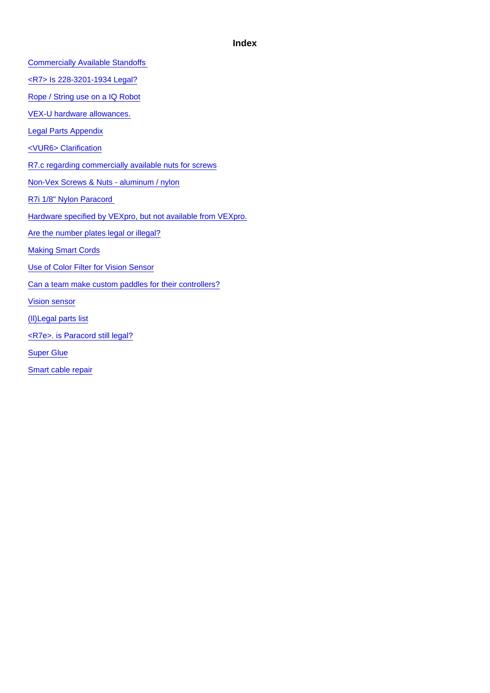# Index

[Commercially Available Standoffs](#page-2-0) 

[<R7> Is 228-3201-1934 Legal?](#page-2-0)

[Rope / String use on a IQ Robot](#page-2-0)

[VEX-U hardware allowances.](#page-3-0)

[Legal Parts Appendix](#page-4-0)

[<VUR6> Clarification](#page-4-0)

[R7.c regarding commercially available nuts for screws](#page-6-0)

[Non-Vex Screws & Nuts - aluminum / nylon](#page-6-0)

[R7i 1/8" Nylon Paracord](#page-7-0) 

[Hardware specified by VEXpro, but not available from VEXpro.](#page-7-0)

[Are the number plates legal or illegal?](#page-8-0)

[Making Smart Cords](#page-8-0)

[Use of Color Filter for Vision Sensor](#page-9-0)

[Can a team make custom paddles for their controllers?](#page-9-0)

[Vision sensor](#page-9-0)

[\(Il\)Legal parts list](#page-10-0)

[<R7e>. is Paracord still legal?](#page-10-0)

[Super Glue](#page-11-0)

[Smart cable repair](#page-11-0)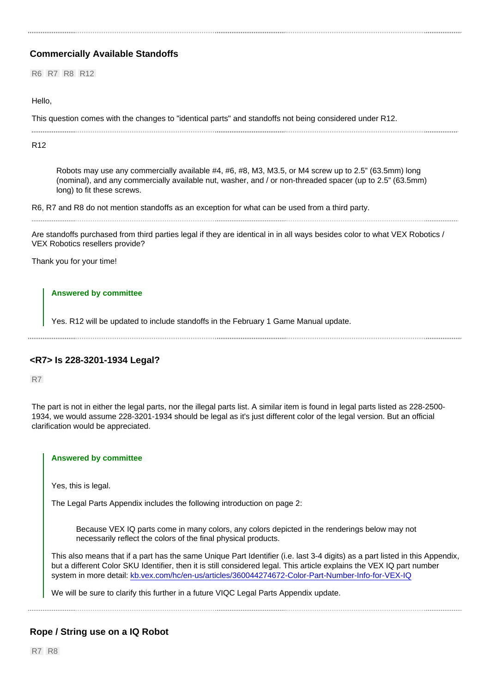# <span id="page-2-0"></span>Commercially Available Standoffs

R6 R7 R8 R12

# Hello,

This question comes with the changes to "identical parts" and standoffs not being considered under R12.

R12

Robots may use any commercially available #4, #6, #8, M3, M3.5, or M4 screw up to 2.5" (63.5mm) long (nominal), and any commercially available nut, washer, and / or non-threaded spacer (up to 2.5" (63.5mm) long) to fit these screws.

R6, R7 and R8 do not mention standoffs as an exception for what can be used from a third party.

Are standoffs purchased from third parties legal if they are identical in in all ways besides color to what VEX Robotics / VEX Robotics resellers provide?

Thank you for your time!

### Answered by committee

Yes. R12 will be updated to include standoffs in the February 1 Game Manual update.

# <R7> Is 228-3201-1934 Legal?

R7

The part is not in either the legal parts, nor the illegal parts list. A similar item is found in legal parts listed as 228-2500- 1934, we would assume 228-3201-1934 should be legal as it's just different color of the legal version. But an official clarification would be appreciated.

#### Answered by committee

Yes, this is legal.

The Legal Parts Appendix includes the following introduction on page 2:

Because VEX IQ parts come in many colors, any colors depicted in the renderings below may not necessarily reflect the colors of the final physical products.

This also means that if a part has the same Unique Part Identifier (i.e. last 3-4 digits) as a part listed in this Appendix, but a different Color SKU Identifier, then it is still considered legal. This article explains the VEX IQ part number system in more detail: [kb.vex.com/hc/en-us/articles/360044274672-Color-Part-Number-Info-for-VEX-IQ](https://kb.vex.com/hc/en-us/articles/360044274672-Color-Part-Number-Info-for-VEX-IQ)

We will be sure to clarify this further in a future VIQC Legal Parts Appendix update.

# Rope / String use on a IQ Robot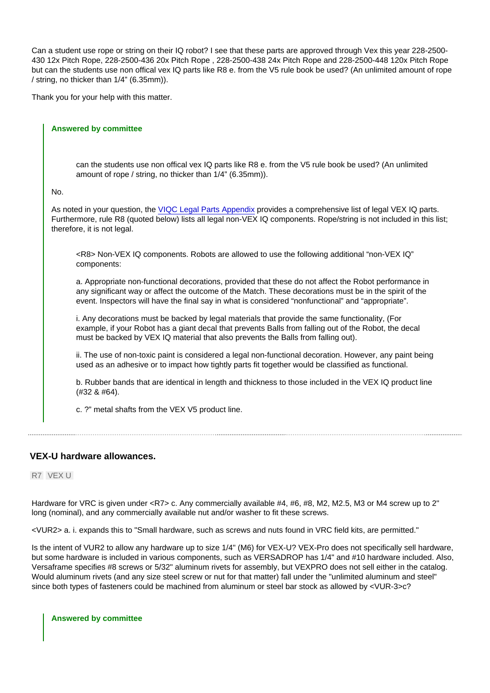<span id="page-3-0"></span>Can a student use rope or string on their IQ robot? I see that these parts are approved through Vex this year 228-2500- 430 12x Pitch Rope, 228-2500-436 20x Pitch Rope , 228-2500-438 24x Pitch Rope and 228-2500-448 120x Pitch Rope but can the students use non offical vex IQ parts like R8 e. from the V5 rule book be used? (An unlimited amount of rope / string, no thicker than 1/4" (6.35mm)).

Thank you for your help with this matter.

Answered by committee can the students use non offical vex IQ parts like R8 e. from the V5 rule book be used? (An unlimited amount of rope / string, no thicker than 1/4" (6.35mm)). No. As noted in your question, the [VIQC Legal Parts Appendix](https://link.vex.com/docs/viqc/pitching-in/legal-parts) provides a comprehensive list of legal VEX IQ parts. Furthermore, rule R8 (quoted below) lists all legal non-VEX IQ components. Rope/string is not included in this list; therefore, it is not legal. <R8> Non-VEX IQ components. Robots are allowed to use the following additional "non-VEX IQ" components: a. Appropriate non-functional decorations, provided that these do not affect the Robot performance in any significant way or affect the outcome of the Match. These decorations must be in the spirit of the event. Inspectors will have the final say in what is considered "nonfunctional" and "appropriate". i. Any decorations must be backed by legal materials that provide the same functionality, (For example, if your Robot has a giant decal that prevents Balls from falling out of the Robot, the decal must be backed by VEX IQ material that also prevents the Balls from falling out). ii. The use of non-toxic paint is considered a legal non-functional decoration. However, any paint being used as an adhesive or to impact how tightly parts fit together would be classified as functional. b. Rubber bands that are identical in length and thickness to those included in the VEX IQ product line (#32 & #64). c. ?" metal shafts from the VEX V5 product line.

# VEX-U hardware allowances.

# R7 VEX U

Hardware for VRC is given under <R7> c. Any commercially available #4, #6, #8, M2, M2.5, M3 or M4 screw up to 2" long (nominal), and any commercially available nut and/or washer to fit these screws.

<VUR2> a. i. expands this to "Small hardware, such as screws and nuts found in VRC field kits, are permitted."

Is the intent of VUR2 to allow any hardware up to size 1/4" (M6) for VEX-U? VEX-Pro does not specifically sell hardware, but some hardware is included in various components, such as VERSADROP has 1/4" and #10 hardware included. Also, Versaframe specifies #8 screws or 5/32" aluminum rivets for assembly, but VEXPRO does not sell either in the catalog. Would aluminum rivets (and any size steel screw or nut for that matter) fall under the "unlimited aluminum and steel" since both types of fasteners could be machined from aluminum or steel bar stock as allowed by <VUR-3>c?

Answered by committee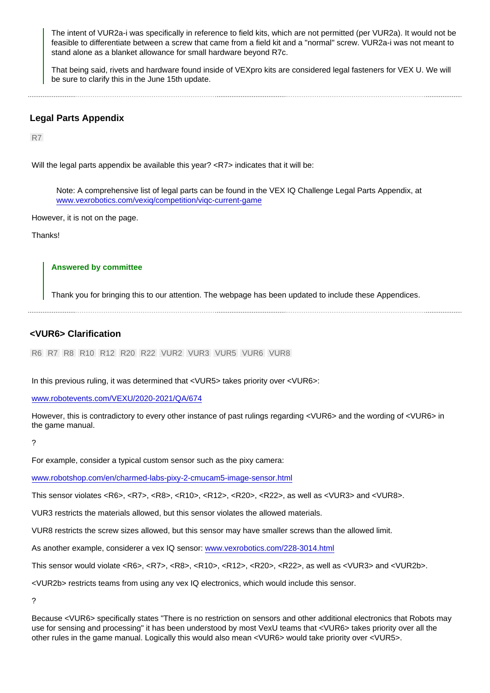<span id="page-4-0"></span>The intent of VUR2a-i was specifically in reference to field kits, which are not permitted (per VUR2a). It would not be feasible to differentiate between a screw that came from a field kit and a "normal" screw. VUR2a-i was not meant to stand alone as a blanket allowance for small hardware beyond R7c.

That being said, rivets and hardware found inside of VEXpro kits are considered legal fasteners for VEX U. We will be sure to clarify this in the June 15th update.

#### 

### Legal Parts Appendix

R7

Will the legal parts appendix be available this year? <R7> indicates that it will be:

Note: A comprehensive list of legal parts can be found in the VEX IQ Challenge Legal Parts Appendix, at [www.vexrobotics.com/vexiq/competition/viqc-current-game](https://www.vexrobotics.com/vexiq/competition/viqc-current-game)

However, it is not on the page.

Thanks!

#### Answered by committee

Thank you for bringing this to our attention. The webpage has been updated to include these Appendices.

### <VUR6> Clarification

R6 R7 R8 R10 R12 R20 R22 VUR2 VUR3 VUR5 VUR6 VUR8

In this previous ruling, it was determined that <VUR5> takes priority over <VUR6>:

[www.robotevents.com/VEXU/2020-2021/QA/674](https://www.robotevents.com/VEXU/2020-2021/QA/674)

However, this is contradictory to every other instance of past rulings regarding <VUR6> and the wording of <VUR6> in the game manual.

?

For example, consider a typical custom sensor such as the pixy camera:

[www.robotshop.com/en/charmed-labs-pixy-2-cmucam5-image-sensor.html](https://www.robotshop.com/en/charmed-labs-pixy-2-cmucam5-image-sensor.html)

This sensor violates <R6>, <R7>, <R8>, <R10>, <R12>, <R20>, <R22>, as well as <VUR3> and <VUR8>.

VUR3 restricts the materials allowed, but this sensor violates the allowed materials.

VUR8 restricts the screw sizes allowed, but this sensor may have smaller screws than the allowed limit.

As another example, considerer a vex IQ sensor: [www.vexrobotics.com/228-3014.html](https://www.vexrobotics.com/228-3014.html)

This sensor would violate <R6>, <R7>, <R8>, <R10>, <R12>, <R20>, <R22>, as well as <VUR3> and <VUR2b>.

<VUR2b> restricts teams from using any vex IQ electronics, which would include this sensor.

?

Because <VUR6> specifically states "There is no restriction on sensors and other additional electronics that Robots may use for sensing and processing" it has been understood by most VexU teams that <VUR6> takes priority over all the other rules in the game manual. Logically this would also mean <VUR6> would take priority over <VUR5>.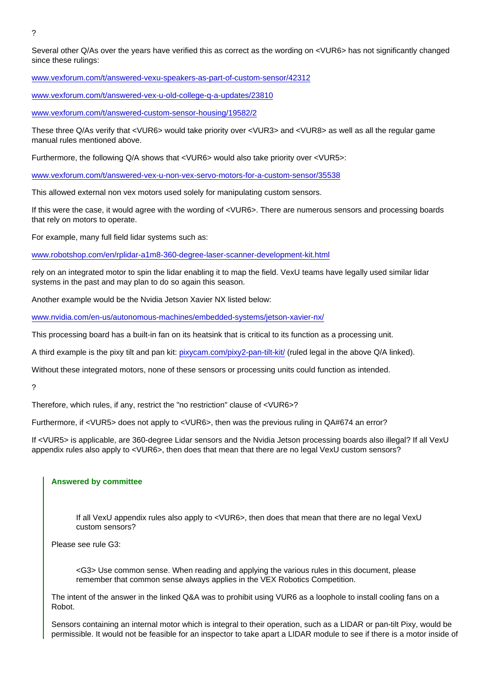?

Several other Q/As over the years have verified this as correct as the wording on <VUR6> has not significantly changed since these rulings:

[www.vexforum.com/t/answered-vexu-speakers-as-part-of-custom-sensor/42312](https://www.vexforum.com/t/answered-vexu-speakers-as-part-of-custom-sensor/42312)

[www.vexforum.com/t/answered-vex-u-old-college-q-a-updates/23810](https://www.vexforum.com/t/answered-vex-u-old-college-q-a-updates/23810)

[www.vexforum.com/t/answered-custom-sensor-housing/19582/2](https://www.vexforum.com/t/answered-custom-sensor-housing/19582/2)

These three Q/As verify that <VUR6> would take priority over <VUR3> and <VUR8> as well as all the regular game manual rules mentioned above.

Furthermore, the following Q/A shows that <VUR6> would also take priority over <VUR5>:

[www.vexforum.com/t/answered-vex-u-non-vex-servo-motors-for-a-custom-sensor/35538](https://www.vexforum.com/t/answered-vex-u-non-vex-servo-motors-for-a-custom-sensor/35538)

This allowed external non vex motors used solely for manipulating custom sensors.

If this were the case, it would agree with the wording of <VUR6>. There are numerous sensors and processing boards that rely on motors to operate.

For example, many full field lidar systems such as:

[www.robotshop.com/en/rplidar-a1m8-360-degree-laser-scanner-development-kit.html](https://www.robotshop.com/en/rplidar-a1m8-360-degree-laser-scanner-development-kit.html)

rely on an integrated motor to spin the lidar enabling it to map the field. VexU teams have legally used similar lidar systems in the past and may plan to do so again this season.

Another example would be the Nvidia Jetson Xavier NX listed below:

[www.nvidia.com/en-us/autonomous-machines/embedded-systems/jetson-xavier-nx/](https://www.nvidia.com/en-us/autonomous-machines/embedded-systems/jetson-xavier-nx/)

This processing board has a built-in fan on its heatsink that is critical to its function as a processing unit.

A third example is the pixy tilt and pan kit: [pixycam.com/pixy2-pan-tilt-kit/](https://pixycam.com/pixy2-pan-tilt-kit/) (ruled legal in the above Q/A linked).

Without these integrated motors, none of these sensors or processing units could function as intended.

?

Therefore, which rules, if any, restrict the "no restriction" clause of <VUR6>?

Furthermore, if <VUR5> does not apply to <VUR6>, then was the previous ruling in QA#674 an error?

If <VUR5> is applicable, are 360-degree Lidar sensors and the Nvidia Jetson processing boards also illegal? If all VexU appendix rules also apply to <VUR6>, then does that mean that there are no legal VexU custom sensors?

#### Answered by committee

If all VexU appendix rules also apply to <VUR6>, then does that mean that there are no legal VexU custom sensors?

Please see rule G3:

<G3> Use common sense. When reading and applying the various rules in this document, please remember that common sense always applies in the VEX Robotics Competition.

The intent of the answer in the linked Q&A was to prohibit using VUR6 as a loophole to install cooling fans on a Robot.

Sensors containing an internal motor which is integral to their operation, such as a LIDAR or pan-tilt Pixy, would be permissible. It would not be feasible for an inspector to take apart a LIDAR module to see if there is a motor inside of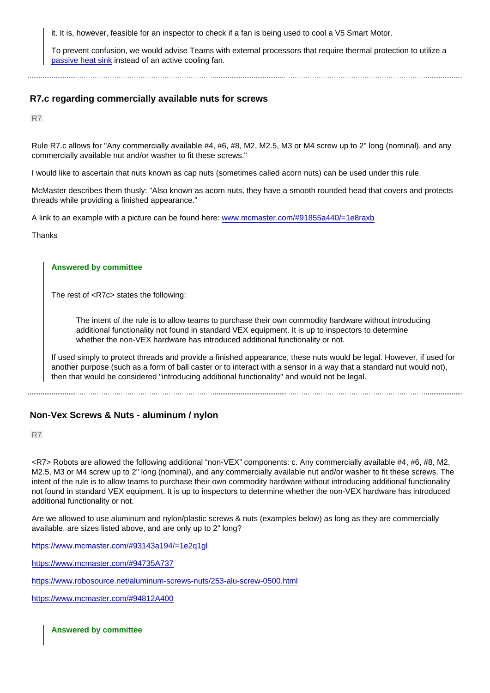<span id="page-6-0"></span>it. It is, however, feasible for an inspector to check if a fan is being used to cool a V5 Smart Motor.

To prevent confusion, we would advise Teams with external processors that require thermal protection to utilize a [passive heat sink](https://connecttech.com/product/nvidia-jetson-xavier-nx-passive-heat-sink/) instead of an active cooling fan.

# R7.c regarding commercially available nuts for screws

R7

Rule R7.c allows for "Any commercially available #4, #6, #8, M2, M2.5, M3 or M4 screw up to 2" long (nominal), and any commercially available nut and/or washer to fit these screws."

I would like to ascertain that nuts known as cap nuts (sometimes called acorn nuts) can be used under this rule.

McMaster describes them thusly: "Also known as acorn nuts, they have a smooth rounded head that covers and protects threads while providing a finished appearance."

A link to an example with a picture can be found here: [www.mcmaster.com/#91855a440/=1e8raxb](https://www.mcmaster.com/#91855a440/=1e8raxb)

Thanks

#### Answered by committee

The rest of <R7c> states the following:

The intent of the rule is to allow teams to purchase their own commodity hardware without introducing additional functionality not found in standard VEX equipment. It is up to inspectors to determine whether the non-VEX hardware has introduced additional functionality or not.

If used simply to protect threads and provide a finished appearance, these nuts would be legal. However, if used for another purpose (such as a form of ball caster or to interact with a sensor in a way that a standard nut would not), then that would be considered "introducing additional functionality" and would not be legal.

# Non-Vex Screws & Nuts - aluminum / nylon

R7

<R7> Robots are allowed the following additional "non-VEX" components: c. Any commercially available #4, #6, #8, M2, M2.5, M3 or M4 screw up to 2" long (nominal), and any commercially available nut and/or washer to fit these screws. The intent of the rule is to allow teams to purchase their own commodity hardware without introducing additional functionality not found in standard VEX equipment. It is up to inspectors to determine whether the non-VEX hardware has introduced additional functionality or not.

Are we allowed to use aluminum and nylon/plastic screws & nuts (examples below) as long as they are commercially available, are sizes listed above, and are only up to 2" long?

[https://www.mcmaster.com/#93143a194/=1e2q1gl](http://)

[https://www.mcmaster.com/#94735A737](http://)

[https://www.robosource.net/aluminum-screws-nuts/253-alu-screw-0500.html](http://)

[https://www.mcmaster.com/#94812A400](http://)

Answered by committee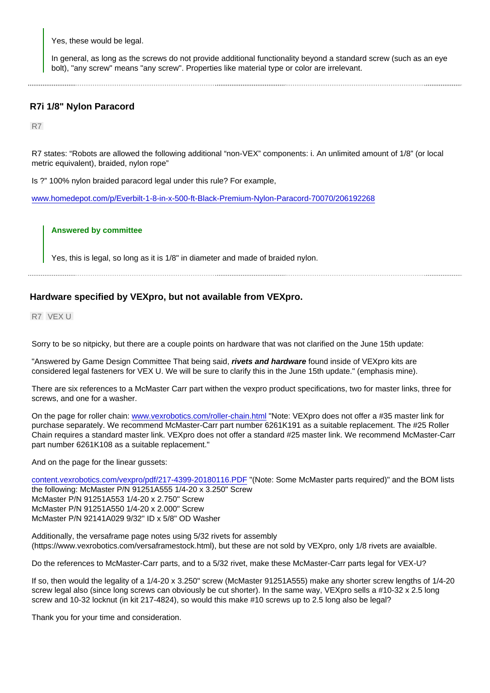<span id="page-7-0"></span>Yes, these would be legal.

In general, as long as the screws do not provide additional functionality beyond a standard screw (such as an eye bolt), "any screw" means "any screw". Properties like material type or color are irrelevant.

# R7i 1/8" Nylon Paracord

R7

R7 states: "Robots are allowed the following additional "non-VEX" components: i. An unlimited amount of 1/8" (or local metric equivalent), braided, nylon rope"

Is ?" 100% nylon braided paracord legal under this rule? For example,

[www.homedepot.com/p/Everbilt-1-8-in-x-500-ft-Black-Premium-Nylon-Paracord-70070/206192268](https://www.homedepot.com/p/Everbilt-1-8-in-x-500-ft-Black-Premium-Nylon-Paracord-70070/206192268)

### Answered by committee

Yes, this is legal, so long as it is 1/8" in diameter and made of braided nylon.

# Hardware specified by VEXpro, but not available from VEXpro.

R7 VEX U

Sorry to be so nitpicky, but there are a couple points on hardware that was not clarified on the June 15th update:

"Answered by Game Design Committee That being said, rivets and hardware found inside of VEXpro kits are considered legal fasteners for VEX U. We will be sure to clarify this in the June 15th update." (emphasis mine).

There are six references to a McMaster Carr part withen the vexpro product specifications, two for master links, three for screws, and one for a washer.

On the page for roller chain: [www.vexrobotics.com/roller-chain.html](https://www.vexrobotics.com/roller-chain.html) "Note: VEXpro does not offer a #35 master link for purchase separately. We recommend McMaster-Carr part number 6261K191 as a suitable replacement. The #25 Roller Chain requires a standard master link. VEXpro does not offer a standard #25 master link. We recommend McMaster-Carr part number 6261K108 as a suitable replacement."

And on the page for the linear gussets:

[content.vexrobotics.com/vexpro/pdf/217-4399-20180116.PDF](https://content.vexrobotics.com/vexpro/pdf/217-4399-20180116.PDF) "(Note: Some McMaster parts required)" and the BOM lists the following: McMaster P/N 91251A555 1/4-20 x 3.250" Screw McMaster P/N 91251A553 1/4-20 x 2.750" Screw McMaster P/N 91251A550 1/4-20 x 2.000" Screw McMaster P/N 92141A029 9/32" ID x 5/8" OD Washer

Additionally, the versaframe page notes using 5/32 rivets for assembly (https://www.vexrobotics.com/versaframestock.html), but these are not sold by VEXpro, only 1/8 rivets are avaialble.

Do the references to McMaster-Carr parts, and to a 5/32 rivet, make these McMaster-Carr parts legal for VEX-U?

If so, then would the legality of a 1/4-20 x 3.250" screw (McMaster 91251A555) make any shorter screw lengths of 1/4-20 screw legal also (since long screws can obviously be cut shorter). In the same way, VEXpro sells a #10-32 x 2.5 long screw and 10-32 locknut (in kit 217-4824), so would this make #10 screws up to 2.5 long also be legal?

Thank you for your time and consideration.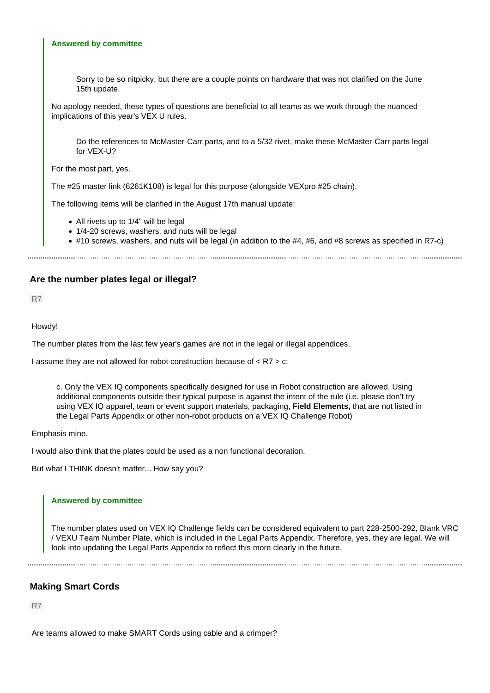#### <span id="page-8-0"></span>**Answered by committee**

Sorry to be so nitpicky, but there are a couple points on hardware that was not clarified on the June 15th update.

No apology needed, these types of questions are beneficial to all teams as we work through the nuanced implications of this year's VEX U rules.

Do the references to McMaster-Carr parts, and to a 5/32 rivet, make these McMaster-Carr parts legal for VEX-U?

For the most part, yes.

The #25 master link (6261K108) is legal for this purpose (alongside VEXpro #25 chain).

The following items will be clarified in the August 17th manual update:

- All rivets up to 1/4" will be legal
- 1/4-20 screws, washers, and nuts will be legal
- #10 screws, washers, and nuts will be legal (in addition to the #4, #6, and #8 screws as specified in R7-c)

### **Are the number plates legal or illegal?**

R7

#### Howdy!

The number plates from the last few year's games are not in the legal or illegal appendices.

I assume they are not allowed for robot construction because of < R7 > c:

c. Only the VEX IQ components specifically designed for use in Robot construction are allowed. Using additional components outside their typical purpose is against the intent of the rule (i.e. please don't try using VEX IQ apparel, team or event support materials, packaging, **Field Elements,** that are not listed in the Legal Parts Appendix or other non-robot products on a VEX IQ Challenge Robot)

Emphasis mine.

I would also think that the plates could be used as a non functional decoration.

But what I THINK doesn't matter... How say you?

#### **Answered by committee**

The number plates used on VEX IQ Challenge fields can be considered equivalent to part 228-2500-292, Blank VRC / VEXU Team Number Plate, which is included in the Legal Parts Appendix. Therefore, yes, they are legal. We will look into updating the Legal Parts Appendix to reflect this more clearly in the future.

# **Making Smart Cords**

R7

Are teams allowed to make SMART Cords using cable and a crimper?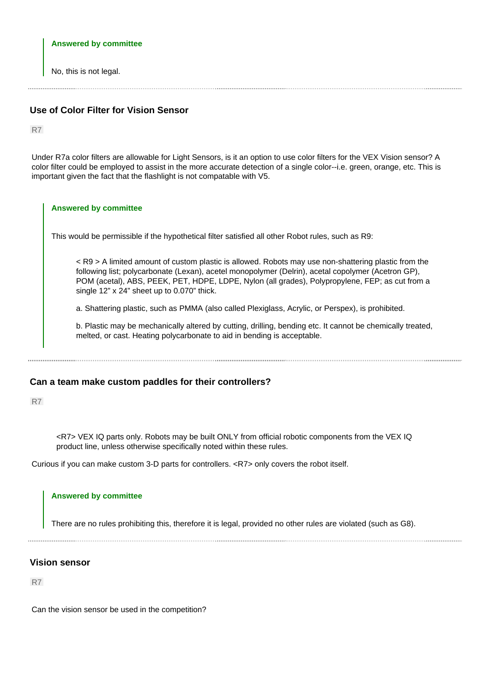#### <span id="page-9-0"></span>**Answered by committee**

No, this is not legal.

# **Use of Color Filter for Vision Sensor**

R7

Under R7a color filters are allowable for Light Sensors, is it an option to use color filters for the VEX Vision sensor? A color filter could be employed to assist in the more accurate detection of a single color--i.e. green, orange, etc. This is important given the fact that the flashlight is not compatable with V5.

# **Answered by committee** This would be permissible if the hypothetical filter satisfied all other Robot rules, such as R9: < R9 > A limited amount of custom plastic is allowed. Robots may use non-shattering plastic from the following list; polycarbonate (Lexan), acetel monopolymer (Delrin), acetal copolymer (Acetron GP), POM (acetal), ABS, PEEK, PET, HDPE, LDPE, Nylon (all grades), Polypropylene, FEP; as cut from a single 12" x 24" sheet up to 0.070" thick. a. Shattering plastic, such as PMMA (also called Plexiglass, Acrylic, or Perspex), is prohibited. b. Plastic may be mechanically altered by cutting, drilling, bending etc. It cannot be chemically treated, melted, or cast. Heating polycarbonate to aid in bending is acceptable.

# **Can a team make custom paddles for their controllers?**

R7

<R7> VEX IQ parts only. Robots may be built ONLY from official robotic components from the VEX IQ product line, unless otherwise specifically noted within these rules.

Curious if you can make custom 3-D parts for controllers. <R7> only covers the robot itself.

#### **Answered by committee**

There are no rules prohibiting this, therefore it is legal, provided no other rules are violated (such as G8).

# **Vision sensor**

R7

Can the vision sensor be used in the competition?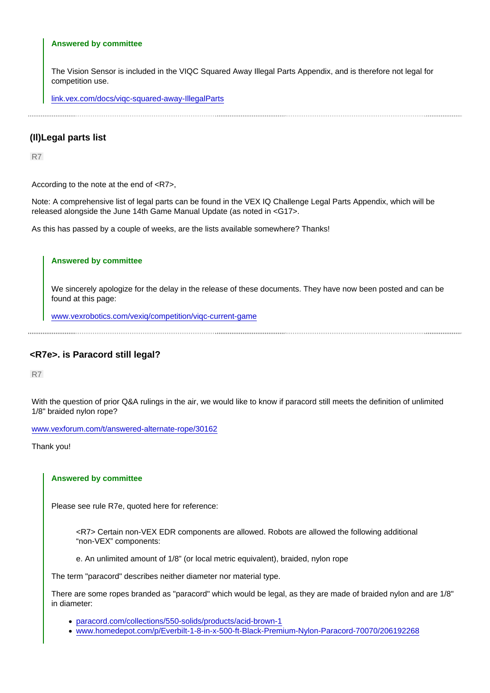#### <span id="page-10-0"></span>Answered by committee

The Vision Sensor is included in the VIQC Squared Away Illegal Parts Appendix, and is therefore not legal for competition use.

[link.vex.com/docs/viqc-squared-away-IllegalParts](https://link.vex.com/docs/viqc-squared-away-IllegalParts)

# (Il)Legal parts list

R7

According to the note at the end of <R7>,

Note: A comprehensive list of legal parts can be found in the VEX IQ Challenge Legal Parts Appendix, which will be released alongside the June 14th Game Manual Update (as noted in <G17>.

As this has passed by a couple of weeks, are the lists available somewhere? Thanks!

#### Answered by committee

We sincerely apologize for the delay in the release of these documents. They have now been posted and can be found at this page:

[www.vexrobotics.com/vexiq/competition/viqc-current-game](https://www.vexrobotics.com/vexiq/competition/viqc-current-game)

# <R7e>. is Paracord still legal?

R7

With the question of prior Q&A rulings in the air, we would like to know if paracord still meets the definition of unlimited 1/8" braided nylon rope?

[www.vexforum.com/t/answered-alternate-rope/30162](https://www.vexforum.com/t/answered-alternate-rope/30162)

Thank you!

#### Answered by committee

Please see rule R7e, quoted here for reference:

<R7> Certain non-VEX EDR components are allowed. Robots are allowed the following additional "non-VEX" components:

e. An unlimited amount of 1/8" (or local metric equivalent), braided, nylon rope

The term "paracord" describes neither diameter nor material type.

There are some ropes branded as "paracord" which would be legal, as they are made of braided nylon and are 1/8" in diameter:

- [paracord.com/collections/550-solids/products/acid-brown-1](https://paracord.com/collections/550-solids/products/acid-brown-1)
- [www.homedepot.com/p/Everbilt-1-8-in-x-500-ft-Black-Premium-Nylon-Paracord-70070/206192268](https://www.homedepot.com/p/Everbilt-1-8-in-x-500-ft-Black-Premium-Nylon-Paracord-70070/206192268)